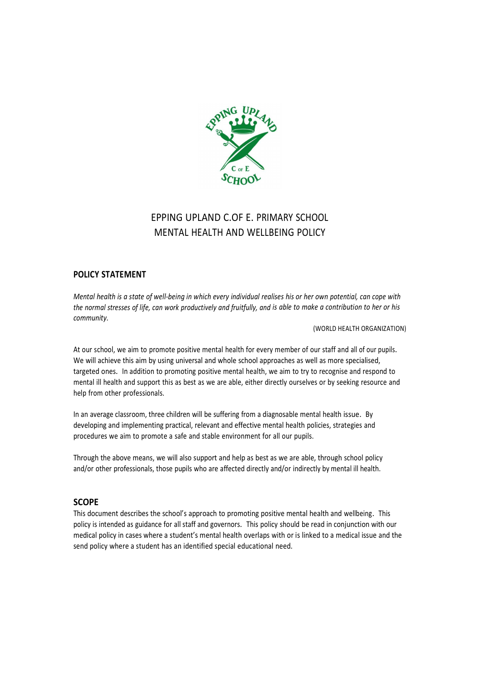

# EPPING UPLAND C.OF E. PRIMARY SCHOOL MENTAL HEALTH AND WELLBEING POLICY

# POLICY STATEMENT

Mental health is a state of well-being in which every individual realises his or her own potential, can cope with the normal stresses of life, can work productively and fruitfully, and is able to make a contribution to her or his community.

(WORLD HEALTH ORGANIZATION)

At our school, we aim to promote positive mental health for every member of our staff and all of our pupils. We will achieve this aim by using universal and whole school approaches as well as more specialised, targeted ones. In addition to promoting positive mental health, we aim to try to recognise and respond to mental ill health and support this as best as we are able, either directly ourselves or by seeking resource and help from other professionals.

In an average classroom, three children will be suffering from a diagnosable mental health issue. By developing and implementing practical, relevant and effective mental health policies, strategies and procedures we aim to promote a safe and stable environment for all our pupils.

Through the above means, we will also support and help as best as we are able, through school policy and/or other professionals, those pupils who are affected directly and/or indirectly by mental ill health.

# **SCOPE**

This document describes the school's approach to promoting positive mental health and wellbeing. This policy is intended as guidance for all staff and governors. This policy should be read in conjunction with our medical policy in cases where a student's mental health overlaps with or is linked to a medical issue and the send policy where a student has an identified special educational need.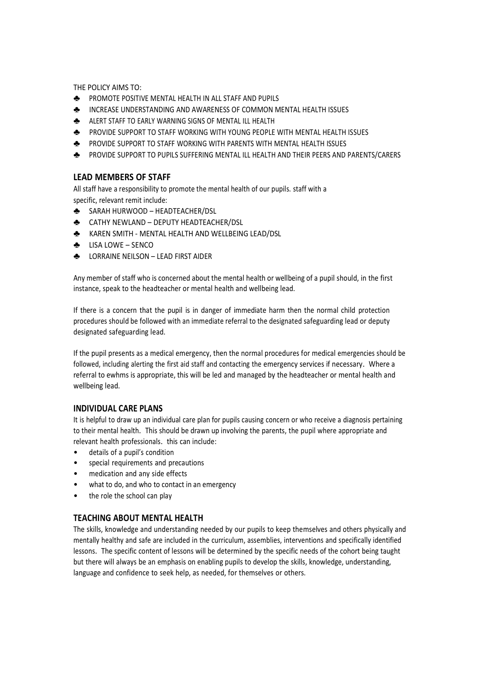THE POLICY AIMS TO:

- ♣ PROMOTE POSITIVE MENTAL HEALTH IN ALL STAFF AND PUPILS
- ♣ INCREASE UNDERSTANDING AND AWARENESS OF COMMON MENTAL HEALTH ISSUES
- ♣ ALERT STAFF TO EARLY WARNING SIGNS OF MENTAL ILL HEALTH
- ♣ PROVIDE SUPPORT TO STAFF WORKING WITH YOUNG PEOPLE WITH MENTAL HEALTH ISSUES
- ♣ PROVIDE SUPPORT TO STAFF WORKING WITH PARENTS WITH MENTAL HEALTH ISSUES
- ♣ PROVIDE SUPPORT TO PUPILS SUFFERING MENTAL ILL HEALTH AND THEIR PEERS AND PARENTS/CARERS

# LEAD MEMBERS OF STAFF

All staff have a responsibility to promote the mental health of our pupils. staff with a specific, relevant remit include:

- ♣ SARAH HURWOOD HEADTEACHER/DSL
- ♣ CATHY NEWLAND DEPUTY HEADTEACHER/DSL
- ♣ KAREN SMITH MENTAL HEALTH AND WELLBEING LEAD/DSL
- ♣ LISA LOWE SENCO
- ♣ LORRAINE NEILSON LEAD FIRST AIDER

Any member of staff who is concerned about the mental health or wellbeing of a pupil should, in the first instance, speak to the headteacher or mental health and wellbeing lead.

If there is a concern that the pupil is in danger of immediate harm then the normal child protection procedures should be followed with an immediate referral to the designated safeguarding lead or deputy designated safeguarding lead.

If the pupil presents as a medical emergency, then the normal procedures for medical emergencies should be followed, including alerting the first aid staff and contacting the emergency services if necessary. Where a referral to ewhms is appropriate, this will be led and managed by the headteacher or mental health and wellbeing lead.

#### INDIVIDUAL CARE PLANS

It is helpful to draw up an individual care plan for pupils causing concern or who receive a diagnosis pertaining to their mental health. This should be drawn up involving the parents, the pupil where appropriate and relevant health professionals. this can include:

- details of a pupil's condition
- special requirements and precautions
- medication and any side effects
- what to do, and who to contact in an emergency
- the role the school can play

# TEACHING ABOUT MENTAL HEALTH

The skills, knowledge and understanding needed by our pupils to keep themselves and others physically and mentally healthy and safe are included in the curriculum, assemblies, interventions and specifically identified lessons. The specific content of lessons will be determined by the specific needs of the cohort being taught but there will always be an emphasis on enabling pupils to develop the skills, knowledge, understanding, language and confidence to seek help, as needed, for themselves or others.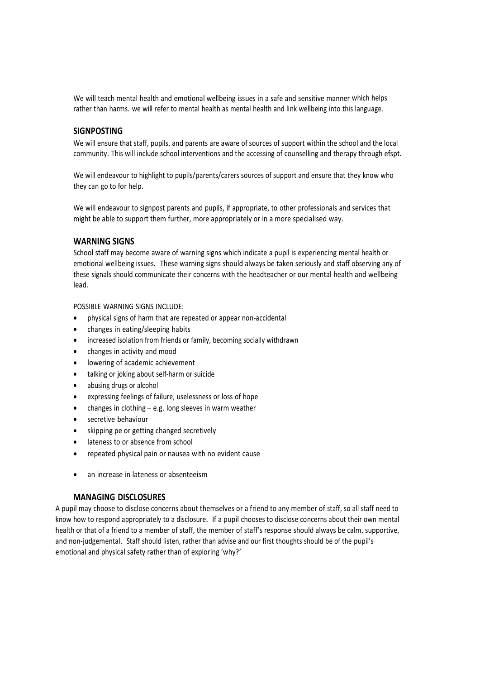We will teach mental health and emotional wellbeing issues in a safe and sensitive manner which helps rather than harms. we will refer to mental health as mental health and link wellbeing into this language.

#### **SIGNPOSTING**

We will ensure that staff, pupils, and parents are aware of sources of support within the school and the local community. This will include school interventions and the accessing of counselling and therapy through efspt.

We will endeavour to highlight to pupils/parents/carers sources of support and ensure that they know who they can go to for help.

We will endeavour to signpost parents and pupils, if appropriate, to other professionals and services that might be able to support them further, more appropriately or in a more specialised way.

#### WARNING SIGNS

School staff may become aware of warning signs which indicate a pupil is experiencing mental health or emotional wellbeing issues. These warning signs should always be taken seriously and staff observing any of these signals should communicate their concerns with the headteacher or our mental health and wellbeing lead.

POSSIBLE WARNING SIGNS INCLUDE:

- physical signs of harm that are repeated or appear non-accidental
- changes in eating/sleeping habits
- increased isolation from friends or family, becoming socially withdrawn
- changes in activity and mood
- lowering of academic achievement
- talking or joking about self-harm or suicide
- abusing drugs or alcohol
- expressing feelings of failure, uselessness or loss of hope
- changes in clothing e.g. long sleeves in warm weather
- secretive behaviour
- skipping pe or getting changed secretively
- lateness to or absence from school
- repeated physical pain or nausea with no evident cause
- an increase in lateness or absenteeism

#### MANAGING DISCLOSURES

A pupil may choose to disclose concerns about themselves or a friend to any member of staff, so all staff need to know how to respond appropriately to a disclosure. If a pupil chooses to disclose concerns about their own mental health or that of a friend to a member of staff, the member of staff's response should always be calm, supportive, and non-judgemental. Staff should listen, rather than advise and our first thoughts should be of the pupil's emotional and physical safety rather than of exploring 'why?'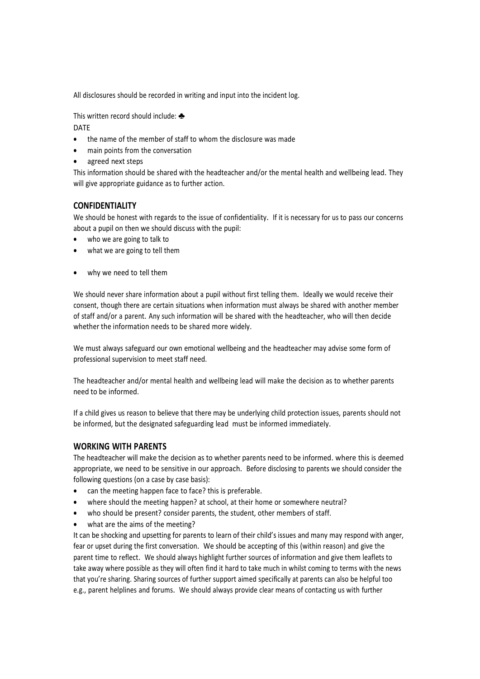All disclosures should be recorded in writing and input into the incident log.

This written record should include: ♣

DATE

- the name of the member of staff to whom the disclosure was made
- main points from the conversation
- agreed next steps

This information should be shared with the headteacher and/or the mental health and wellbeing lead. They will give appropriate guidance as to further action.

# CONFIDENTIALITY

We should be honest with regards to the issue of confidentiality. If it is necessary for us to pass our concerns about a pupil on then we should discuss with the pupil:

- who we are going to talk to
- what we are going to tell them
- why we need to tell them

We should never share information about a pupil without first telling them. Ideally we would receive their consent, though there are certain situations when information must always be shared with another member of staff and/or a parent. Any such information will be shared with the headteacher, who will then decide whether the information needs to be shared more widely.

We must always safeguard our own emotional wellbeing and the headteacher may advise some form of professional supervision to meet staff need.

The headteacher and/or mental health and wellbeing lead will make the decision as to whether parents need to be informed.

If a child gives us reason to believe that there may be underlying child protection issues, parents should not be informed, but the designated safeguarding lead must be informed immediately.

# WORKING WITH PARENTS

The headteacher will make the decision as to whether parents need to be informed. where this is deemed appropriate, we need to be sensitive in our approach. Before disclosing to parents we should consider the following questions (on a case by case basis):

- can the meeting happen face to face? this is preferable.
- where should the meeting happen? at school, at their home or somewhere neutral?
- who should be present? consider parents, the student, other members of staff.
- what are the aims of the meeting?

It can be shocking and upsetting for parents to learn of their child's issues and many may respond with anger, fear or upset during the first conversation. We should be accepting of this (within reason) and give the parent time to reflect. We should always highlight further sources of information and give them leaflets to take away where possible as they will often find it hard to take much in whilst coming to terms with the news that you're sharing. Sharing sources of further support aimed specifically at parents can also be helpful too e.g., parent helplines and forums. We should always provide clear means of contacting us with further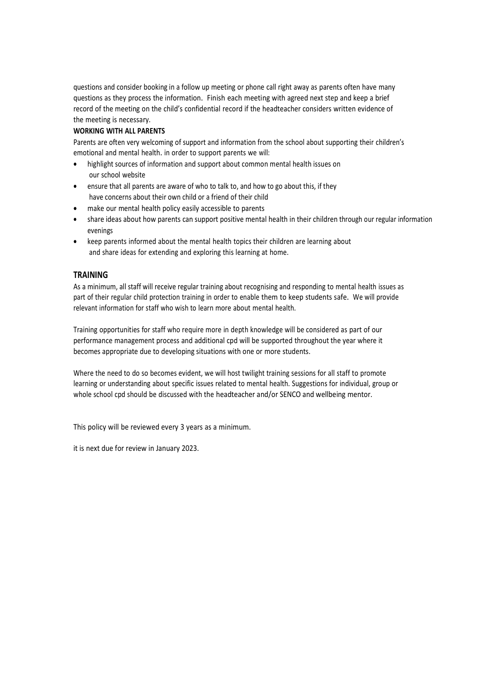questions and consider booking in a follow up meeting or phone call right away as parents often have many questions as they process the information. Finish each meeting with agreed next step and keep a brief record of the meeting on the child's confidential record if the headteacher considers written evidence of the meeting is necessary.

#### WORKING WITH ALL PARENTS

Parents are often very welcoming of support and information from the school about supporting their children's emotional and mental health. in order to support parents we will:

- highlight sources of information and support about common mental health issues on our school website
- ensure that all parents are aware of who to talk to, and how to go about this, if they have concerns about their own child or a friend of their child
- make our mental health policy easily accessible to parents
- share ideas about how parents can support positive mental health in their children through our regular information evenings
- keep parents informed about the mental health topics their children are learning about and share ideas for extending and exploring this learning at home.

### TRAINING

As a minimum, all staff will receive regular training about recognising and responding to mental health issues as part of their regular child protection training in order to enable them to keep students safe. We will provide relevant information for staff who wish to learn more about mental health.

Training opportunities for staff who require more in depth knowledge will be considered as part of our performance management process and additional cpd will be supported throughout the year where it becomes appropriate due to developing situations with one or more students.

Where the need to do so becomes evident, we will host twilight training sessions for all staff to promote learning or understanding about specific issues related to mental health. Suggestions for individual, group or whole school cpd should be discussed with the headteacher and/or SENCO and wellbeing mentor.

This policy will be reviewed every 3 years as a minimum.

it is next due for review in January 2023.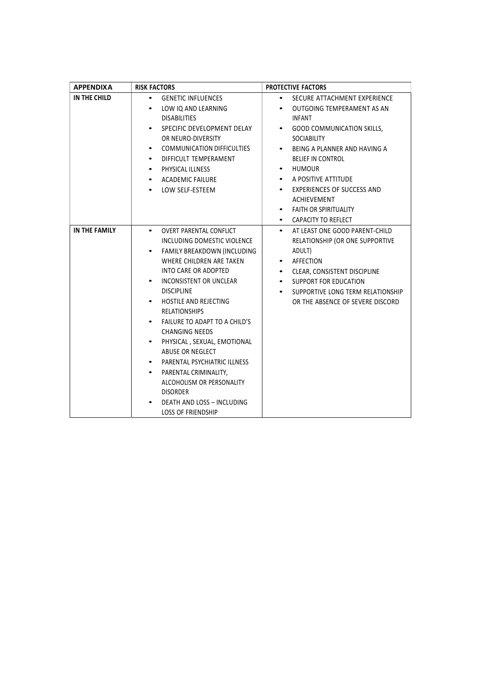| <b>APPENDIXA</b> | <b>RISK FACTORS</b>                             | <b>PROTECTIVE FACTORS</b>                      |
|------------------|-------------------------------------------------|------------------------------------------------|
| IN THE CHILD     | <b>GENETIC INFLUENCES</b>                       | SECURE ATTACHMENT EXPERIENCE                   |
|                  | LOW IQ AND LEARNING                             | OUTGOING TEMPERAMENT AS AN                     |
|                  | <b>DISABILITIES</b>                             | <b>INFANT</b>                                  |
|                  | SPECIFIC DEVELOPMENT DELAY                      | <b>GOOD COMMUNICATION SKILLS,</b><br>$\bullet$ |
|                  | OR NEURO-DIVERSITY                              | <b>SOCIABILITY</b>                             |
|                  | <b>COMMUNICATION DIFFICULTIES</b><br>$\bullet$  | BEING A PLANNER AND HAVING A                   |
|                  | DIFFICULT TEMPERAMENT<br>$\bullet$              | BELIEF IN CONTROL                              |
|                  | PHYSICAL ILLNESS<br>$\bullet$                   | <b>HUMOUR</b>                                  |
|                  | <b>ACADEMIC FAILURE</b><br>$\bullet$            | A POSITIVE ATTITUDE                            |
|                  | LOW SELF-ESTEEM<br>٠                            | <b>EXPERIENCES OF SUCCESS AND</b>              |
|                  |                                                 | <b>ACHIEVEMENT</b>                             |
|                  |                                                 | <b>FAITH OR SPIRITUALITY</b>                   |
|                  |                                                 | CAPACITY TO REFLECT                            |
| IN THE FAMILY    | <b>OVERT PARENTAL CONFLICT</b><br>$\bullet$     | AT LEAST ONE GOOD PARENT-CHILD<br>$\bullet$    |
|                  | INCLUDING DOMESTIC VIOLENCE                     | RELATIONSHIP (OR ONE SUPPORTIVE                |
|                  | FAMILY BREAKDOWN (INCLUDING                     | ADULT)                                         |
|                  | WHERE CHILDREN ARE TAKEN                        | AFFECTION<br>٠                                 |
|                  | INTO CARE OR ADOPTED                            | CLEAR, CONSISTENT DISCIPLINE<br>$\bullet$      |
|                  | INCONSISTENT OR UNCLEAR                         | SUPPORT FOR EDUCATION                          |
|                  | <b>DISCIPLINE</b>                               | SUPPORTIVE LONG TERM RELATIONSHIP              |
|                  | <b>HOSTILE AND REJECTING</b>                    | OR THE ABSENCE OF SEVERE DISCORD               |
|                  | <b>RELATIONSHIPS</b>                            |                                                |
|                  | FAILURE TO ADAPT TO A CHILD'S                   |                                                |
|                  | <b>CHANGING NEEDS</b>                           |                                                |
|                  | PHYSICAL, SEXUAL, EMOTIONAL<br>ABUSE OR NEGLECT |                                                |
|                  | PARENTAL PSYCHIATRIC ILLNESS                    |                                                |
|                  | PARENTAL CRIMINALITY,                           |                                                |
|                  | ALCOHOLISM OR PERSONALITY                       |                                                |
|                  | <b>DISORDER</b>                                 |                                                |
|                  | DEATH AND LOSS - INCLUDING                      |                                                |
|                  | <b>LOSS OF FRIENDSHIP</b>                       |                                                |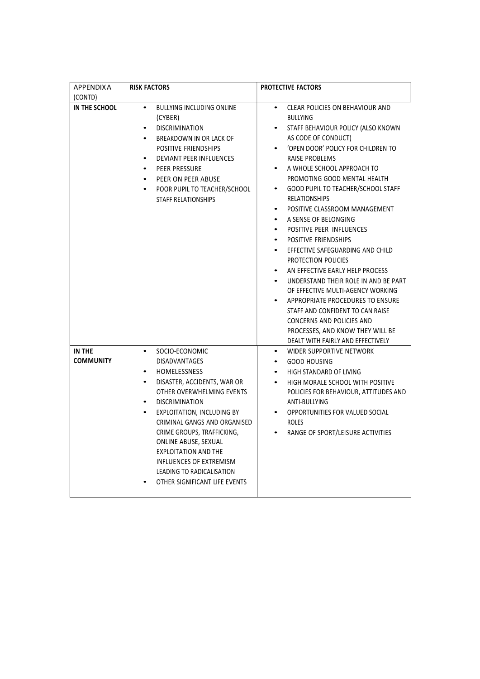| <b>APPENDIXA</b>           | <b>RISK FACTORS</b>                                                                                                                                                                                                                                                                                                                                                                                                                                | PROTECTIVE FACTORS                                                                                                                                                                                                                                                                                                                                                                                                                                                                                                                                                                                                                                                                                                                                                                                                                                                                             |
|----------------------------|----------------------------------------------------------------------------------------------------------------------------------------------------------------------------------------------------------------------------------------------------------------------------------------------------------------------------------------------------------------------------------------------------------------------------------------------------|------------------------------------------------------------------------------------------------------------------------------------------------------------------------------------------------------------------------------------------------------------------------------------------------------------------------------------------------------------------------------------------------------------------------------------------------------------------------------------------------------------------------------------------------------------------------------------------------------------------------------------------------------------------------------------------------------------------------------------------------------------------------------------------------------------------------------------------------------------------------------------------------|
| (CONTD)<br>IN THE SCHOOL   | BULLYING INCLUDING ONLINE<br>$\bullet$<br>(CYBER)<br><b>DISCRIMINATION</b><br>BREAKDOWN IN OR LACK OF<br>POSITIVE FRIENDSHIPS<br><b>DEVIANT PEER INFLUENCES</b><br>٠<br>PEER PRESSURE<br>PEER ON PEER ABUSE<br>$\bullet$<br>POOR PUPIL TO TEACHER/SCHOOL<br>$\bullet$<br><b>STAFF RELATIONSHIPS</b>                                                                                                                                                | CLEAR POLICIES ON BEHAVIOUR AND<br><b>BULLYING</b><br>STAFF BEHAVIOUR POLICY (ALSO KNOWN<br>AS CODE OF CONDUCT)<br>'OPEN DOOR' POLICY FOR CHILDREN TO<br>$\bullet$<br>RAISE PROBLEMS<br>A WHOLE SCHOOL APPROACH TO<br>PROMOTING GOOD MENTAL HEALTH<br>GOOD PUPIL TO TEACHER/SCHOOL STAFF<br>$\bullet$<br><b>RELATIONSHIPS</b><br>POSITIVE CLASSROOM MANAGEMENT<br>$\bullet$<br>A SENSE OF BELONGING<br>$\bullet$<br>POSITIVE PEER INFLUENCES<br>$\bullet$<br>POSITIVE FRIENDSHIPS<br>$\bullet$<br>EFFECTIVE SAFEGUARDING AND CHILD<br>$\bullet$<br>PROTECTION POLICIES<br>AN EFFECTIVE EARLY HELP PROCESS<br>$\bullet$<br>UNDERSTAND THEIR ROLE IN AND BE PART<br>$\bullet$<br>OF EFFECTIVE MULTI-AGENCY WORKING<br>APPROPRIATE PROCEDURES TO ENSURE<br>STAFF AND CONFIDENT TO CAN RAISE<br>CONCERNS AND POLICIES AND<br>PROCESSES, AND KNOW THEY WILL BE<br>DEALT WITH FAIRLY AND EFFECTIVELY |
| IN THE<br><b>COMMUNITY</b> | SOCIO-ECONOMIC<br>$\bullet$<br>DISADVANTAGES<br><b>HOMELESSNESS</b><br>$\bullet$<br>DISASTER, ACCIDENTS, WAR OR<br>$\bullet$<br>OTHER OVERWHELMING EVENTS<br><b>DISCRIMINATION</b><br>EXPLOITATION, INCLUDING BY<br>$\bullet$<br>CRIMINAL GANGS AND ORGANISED<br>CRIME GROUPS, TRAFFICKING,<br>ONLINE ABUSE, SEXUAL<br><b>EXPLOITATION AND THE</b><br><b>INFLUENCES OF EXTREMISM</b><br>LEADING TO RADICALISATION<br>OTHER SIGNIFICANT LIFE EVENTS | WIDER SUPPORTIVE NETWORK<br>٠<br><b>GOOD HOUSING</b><br>$\bullet$<br>HIGH STANDARD OF LIVING<br>$\bullet$<br>HIGH MORALE SCHOOL WITH POSITIVE<br>$\bullet$<br>POLICIES FOR BEHAVIOUR, ATTITUDES AND<br>ANTI-BULLYING<br>OPPORTUNITIES FOR VALUED SOCIAL<br><b>ROLES</b><br>RANGE OF SPORT/LEISURE ACTIVITIES<br>$\bullet$                                                                                                                                                                                                                                                                                                                                                                                                                                                                                                                                                                      |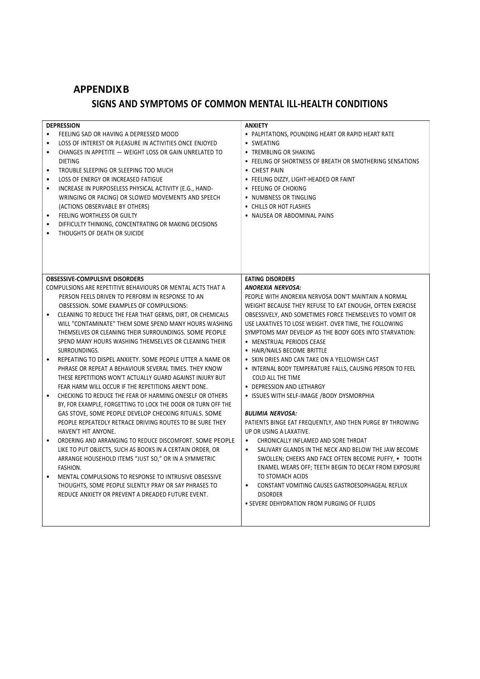# APPENDIX B

# SIGNS AND SYMPTOMS OF COMMON MENTAL ILL-HEALTH CONDITIONS

| <b>DEPRESSION</b>                                                       | <b>ANXIETY</b>                                                    |
|-------------------------------------------------------------------------|-------------------------------------------------------------------|
| FEELING SAD OR HAVING A DEPRESSED MOOD<br>$\bullet$                     | • PALPITATIONS, POUNDING HEART OR RAPID HEART RATE                |
| LOSS OF INTEREST OR PLEASURE IN ACTIVITIES ONCE ENJOYED<br>$\bullet$    | • SWEATING                                                        |
| CHANGES IN APPETITE - WEIGHT LOSS OR GAIN UNRELATED TO<br>$\bullet$     | • TREMBLING OR SHAKING                                            |
| <b>DIETING</b>                                                          | • FEELING OF SHORTNESS OF BREATH OR SMOTHERING SENSATIONS         |
| TROUBLE SLEEPING OR SLEEPING TOO MUCH<br>$\bullet$                      | • CHEST PAIN                                                      |
| LOSS OF ENERGY OR INCREASED FATIGUE<br>$\bullet$                        | • FEELING DIZZY, LIGHT-HEADED OR FAINT                            |
| INCREASE IN PURPOSELESS PHYSICAL ACTIVITY (E.G., HAND-<br>$\bullet$     | • FEELING OF CHOKING                                              |
| WRINGING OR PACING) OR SLOWED MOVEMENTS AND SPEECH                      | • NUMBNESS OR TINGLING                                            |
| (ACTIONS OBSERVABLE BY OTHERS)                                          | • CHILLS OR HOT FLASHES                                           |
| FEELING WORTHLESS OR GUILTY<br>$\bullet$                                | • NAUSEA OR ABDOMINAL PAINS                                       |
| DIFFICULTY THINKING, CONCENTRATING OR MAKING DECISIONS<br>$\bullet$     |                                                                   |
| $\bullet$                                                               |                                                                   |
| THOUGHTS OF DEATH OR SUICIDE                                            |                                                                   |
| <b>OBSESSIVE-COMPULSIVE DISORDERS</b>                                   | <b>EATING DISORDERS</b>                                           |
| COMPULSIONS ARE REPETITIVE BEHAVIOURS OR MENTAL ACTS THAT A             | <b>ANOREXIA NERVOSA:</b>                                          |
| PERSON FEELS DRIVEN TO PERFORM IN RESPONSE TO AN                        | PEOPLE WITH ANOREXIA NERVOSA DON'T MAINTAIN A NORMAL              |
| OBSESSION. SOME EXAMPLES OF COMPULSIONS:                                | WEIGHT BECAUSE THEY REFUSE TO EAT ENOUGH, OFTEN EXERCISE          |
| CLEANING TO REDUCE THE FEAR THAT GERMS, DIRT, OR CHEMICALS<br>$\bullet$ | OBSESSIVELY, AND SOMETIMES FORCE THEMSELVES TO VOMIT OR           |
| WILL "CONTAMINATE" THEM SOME SPEND MANY HOURS WASHING                   | USE LAXATIVES TO LOSE WEIGHT. OVER TIME, THE FOLLOWING            |
| THEMSELVES OR CLEANING THEIR SURROUNDINGS. SOME PEOPLE                  | SYMPTOMS MAY DEVELOP AS THE BODY GOES INTO STARVATION:            |
| SPEND MANY HOURS WASHING THEMSELVES OR CLEANING THEIR                   | • MENSTRUAL PERIODS CEASE                                         |
| SURROUNDINGS.                                                           | • HAIR/NAILS BECOME BRITTLE                                       |
| REPEATING TO DISPEL ANXIETY. SOME PEOPLE UTTER A NAME OR                | • SKIN DRIES AND CAN TAKE ON A YELLOWISH CAST                     |
| PHRASE OR REPEAT A BEHAVIOUR SEVERAL TIMES. THEY KNOW                   | • INTERNAL BODY TEMPERATURE FALLS, CAUSING PERSON TO FEEL         |
| THESE REPETITIONS WON'T ACTUALLY GUARD AGAINST INJURY BUT               | COLD ALL THE TIME                                                 |
| FEAR HARM WILL OCCUR IF THE REPETITIONS AREN'T DONE.                    | • DEPRESSION AND LETHARGY                                         |
| CHECKING TO REDUCE THE FEAR OF HARMING ONESELF OR OTHERS<br>$\bullet$   | • ISSUES WITH SELF-IMAGE / BODY DYSMORPHIA                        |
| BY, FOR EXAMPLE, FORGETTING TO LOCK THE DOOR OR TURN OFF THE            |                                                                   |
| GAS STOVE, SOME PEOPLE DEVELOP CHECKING RITUALS. SOME                   | <b>BULIMIA NERVOSA:</b>                                           |
| PEOPLE REPEATEDLY RETRACE DRIVING ROUTES TO BE SURE THEY                | PATIENTS BINGE EAT FREQUENTLY, AND THEN PURGE BY THROWING         |
| HAVEN'T HIT ANYONE.                                                     | UP OR USING A LAXATIVE.                                           |
| ORDERING AND ARRANGING TO REDUCE DISCOMFORT. SOME PEOPLE<br>$\bullet$   | CHRONICALLY INFLAMED AND SORE THROAT<br>$\bullet$                 |
| LIKE TO PUT OBJECTS, SUCH AS BOOKS IN A CERTAIN ORDER, OR               | SALIVARY GLANDS IN THE NECK AND BELOW THE JAW BECOME<br>$\bullet$ |
| ARRANGE HOUSEHOLD ITEMS "JUST SO," OR IN A SYMMETRIC                    | SWOLLEN; CHEEKS AND FACE OFTEN BECOME PUFFY, . TOOTH              |
|                                                                         |                                                                   |
| FASHION.                                                                | ENAMEL WEARS OFF; TEETH BEGIN TO DECAY FROM EXPOSURE              |
| MENTAL COMPULSIONS TO RESPONSE TO INTRUSIVE OBSESSIVE<br>$\bullet$      | TO STOMACH ACIDS                                                  |
| THOUGHTS, SOME PEOPLE SILENTLY PRAY OR SAY PHRASES TO                   | CONSTANT VOMITING CAUSES GASTROESOPHAGEAL REFLUX<br>$\bullet$     |
| REDUCE ANXIETY OR PREVENT A DREADED FUTURE EVENT.                       | <b>DISORDER</b>                                                   |
|                                                                         | • SEVERE DEHYDRATION FROM PURGING OF FLUIDS                       |
|                                                                         |                                                                   |
|                                                                         |                                                                   |